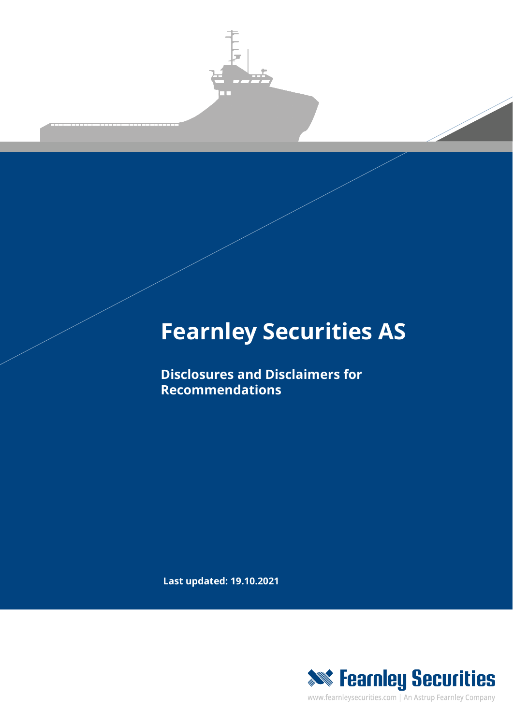

# **Fearnley Securities AS**

**Disclosures and Disclaimers for Recommendations**

**Last updated: 19.10.2021**



www.fearnleysecurities.com | An Astrup Fearnley Company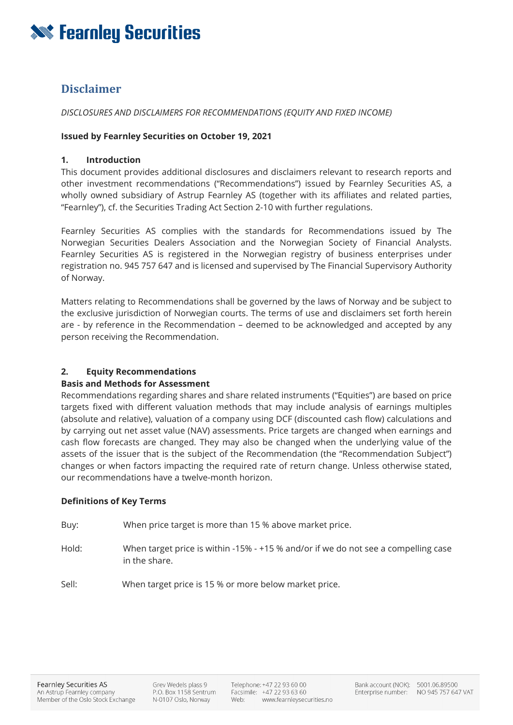

# **Disclaimer**

## *DISCLOSURES AND DISCLAIMERS FOR RECOMMENDATIONS (EQUITY AND FIXED INCOME)*

#### **Issued by Fearnley Securities on October 19, 2021**

#### **1. Introduction**

This document provides additional disclosures and disclaimers relevant to research reports and other investment recommendations ("Recommendations") issued by Fearnley Securities AS, a wholly owned subsidiary of Astrup Fearnley AS (together with its affiliates and related parties, "Fearnley"), cf. the Securities Trading Act Section 2-10 with further regulations.

Fearnley Securities AS complies with the standards for Recommendations issued by The Norwegian Securities Dealers Association and the Norwegian Society of Financial Analysts. Fearnley Securities AS is registered in the Norwegian registry of business enterprises under registration no. 945 757 647 and is licensed and supervised by The Financial Supervisory Authority of Norway.

Matters relating to Recommendations shall be governed by the laws of Norway and be subject to the exclusive jurisdiction of Norwegian courts. The terms of use and disclaimers set forth herein are - by reference in the Recommendation – deemed to be acknowledged and accepted by any person receiving the Recommendation.

## **2. Equity Recommendations**

#### **Basis and Methods for Assessment**

Recommendations regarding shares and share related instruments ("Equities") are based on price targets fixed with different valuation methods that may include analysis of earnings multiples (absolute and relative), valuation of a company using DCF (discounted cash flow) calculations and by carrying out net asset value (NAV) assessments. Price targets are changed when earnings and cash flow forecasts are changed. They may also be changed when the underlying value of the assets of the issuer that is the subject of the Recommendation (the "Recommendation Subject") changes or when factors impacting the required rate of return change. Unless otherwise stated, our recommendations have a twelve-month horizon.

#### **Definitions of Key Terms**

Buy: When price target is more than 15 % above market price.

Hold: When target price is within -15% - +15 % and/or if we do not see a compelling case in the share.

Sell: When target price is 15 % or more below market price.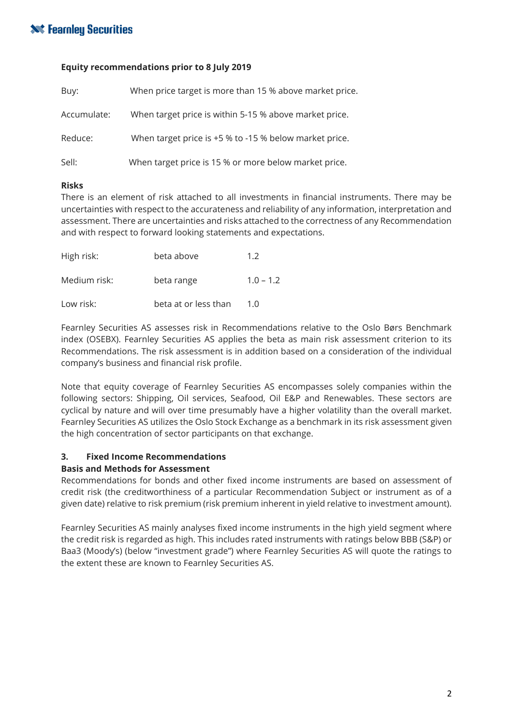# **Sourities**

## **Equity recommendations prior to 8 July 2019**

| Buy:        | When price target is more than 15 % above market price. |
|-------------|---------------------------------------------------------|
| Accumulate: | When target price is within 5-15 % above market price.  |
| Reduce:     | When target price is +5 % to -15 % below market price.  |
| Sell:       | When target price is 15 % or more below market price.   |

#### **Risks**

There is an element of risk attached to all investments in financial instruments. There may be uncertainties with respect to the accurateness and reliability of any information, interpretation and assessment. There are uncertainties and risks attached to the correctness of any Recommendation and with respect to forward looking statements and expectations.

| High risk:   | beta above           | 1.2         |
|--------------|----------------------|-------------|
| Medium risk: | beta range           | $1.0 - 1.2$ |
| Low risk:    | beta at or less than | 1 N         |

Fearnley Securities AS assesses risk in Recommendations relative to the Oslo Børs Benchmark index (OSEBX). Fearnley Securities AS applies the beta as main risk assessment criterion to its Recommendations. The risk assessment is in addition based on a consideration of the individual company's business and financial risk profile.

Note that equity coverage of Fearnley Securities AS encompasses solely companies within the following sectors: Shipping, Oil services, Seafood, Oil E&P and Renewables. These sectors are cyclical by nature and will over time presumably have a higher volatility than the overall market. Fearnley Securities AS utilizes the Oslo Stock Exchange as a benchmark in its risk assessment given the high concentration of sector participants on that exchange.

## **3. Fixed Income Recommendations**

## **Basis and Methods for Assessment**

Recommendations for bonds and other fixed income instruments are based on assessment of credit risk (the creditworthiness of a particular Recommendation Subject or instrument as of a given date) relative to risk premium (risk premium inherent in yield relative to investment amount).

Fearnley Securities AS mainly analyses fixed income instruments in the high yield segment where the credit risk is regarded as high. This includes rated instruments with ratings below BBB (S&P) or Baa3 (Moody's) (below "investment grade") where Fearnley Securities AS will quote the ratings to the extent these are known to Fearnley Securities AS.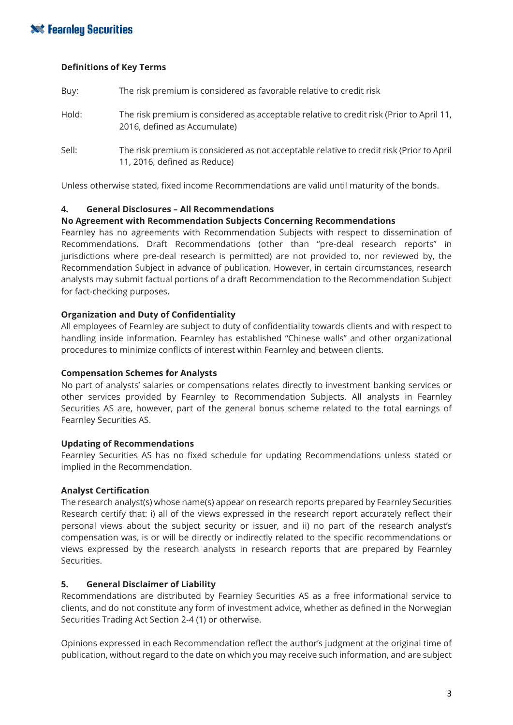# **XXX** Fearnley Securities

#### **Definitions of Key Terms**

| Buy:  | The risk premium is considered as favorable relative to credit risk                                                      |
|-------|--------------------------------------------------------------------------------------------------------------------------|
| Hold: | The risk premium is considered as acceptable relative to credit risk (Prior to April 11,<br>2016, defined as Accumulate) |
| Sell: | The risk premium is considered as not acceptable relative to credit risk (Prior to April<br>11, 2016, defined as Reduce) |

Unless otherwise stated, fixed income Recommendations are valid until maturity of the bonds.

## **4. General Disclosures – All Recommendations**

#### **No Agreement with Recommendation Subjects Concerning Recommendations**

Fearnley has no agreements with Recommendation Subjects with respect to dissemination of Recommendations. Draft Recommendations (other than "pre-deal research reports" in jurisdictions where pre-deal research is permitted) are not provided to, nor reviewed by, the Recommendation Subject in advance of publication. However, in certain circumstances, research analysts may submit factual portions of a draft Recommendation to the Recommendation Subject for fact-checking purposes.

## **Organization and Duty of Confidentiality**

All employees of Fearnley are subject to duty of confidentiality towards clients and with respect to handling inside information. Fearnley has established "Chinese walls" and other organizational procedures to minimize conflicts of interest within Fearnley and between clients.

## **Compensation Schemes for Analysts**

No part of analysts' salaries or compensations relates directly to investment banking services or other services provided by Fearnley to Recommendation Subjects. All analysts in Fearnley Securities AS are, however, part of the general bonus scheme related to the total earnings of Fearnley Securities AS.

## **Updating of Recommendations**

Fearnley Securities AS has no fixed schedule for updating Recommendations unless stated or implied in the Recommendation.

## **Analyst Certification**

The research analyst(s) whose name(s) appear on research reports prepared by Fearnley Securities Research certify that: i) all of the views expressed in the research report accurately reflect their personal views about the subject security or issuer, and ii) no part of the research analyst's compensation was, is or will be directly or indirectly related to the specific recommendations or views expressed by the research analysts in research reports that are prepared by Fearnley Securities.

## **5. General Disclaimer of Liability**

Recommendations are distributed by Fearnley Securities AS as a free informational service to clients, and do not constitute any form of investment advice, whether as defined in the Norwegian Securities Trading Act Section 2-4 (1) or otherwise.

Opinions expressed in each Recommendation reflect the author's judgment at the original time of publication, without regard to the date on which you may receive such information, and are subject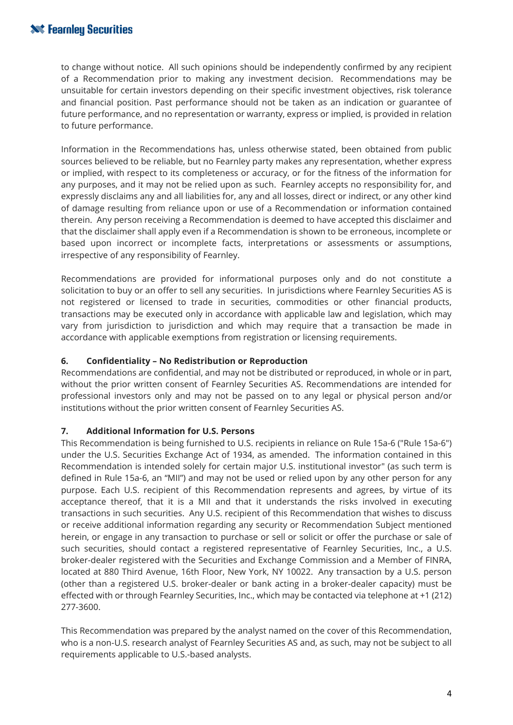# **Solution Securities**

to change without notice. All such opinions should be independently confirmed by any recipient of a Recommendation prior to making any investment decision. Recommendations may be unsuitable for certain investors depending on their specific investment objectives, risk tolerance and financial position. Past performance should not be taken as an indication or guarantee of future performance, and no representation or warranty, express or implied, is provided in relation to future performance.

Information in the Recommendations has, unless otherwise stated, been obtained from public sources believed to be reliable, but no Fearnley party makes any representation, whether express or implied, with respect to its completeness or accuracy, or for the fitness of the information for any purposes, and it may not be relied upon as such. Fearnley accepts no responsibility for, and expressly disclaims any and all liabilities for, any and all losses, direct or indirect, or any other kind of damage resulting from reliance upon or use of a Recommendation or information contained therein. Any person receiving a Recommendation is deemed to have accepted this disclaimer and that the disclaimer shall apply even if a Recommendation is shown to be erroneous, incomplete or based upon incorrect or incomplete facts, interpretations or assessments or assumptions, irrespective of any responsibility of Fearnley.

Recommendations are provided for informational purposes only and do not constitute a solicitation to buy or an offer to sell any securities. In jurisdictions where Fearnley Securities AS is not registered or licensed to trade in securities, commodities or other financial products, transactions may be executed only in accordance with applicable law and legislation, which may vary from jurisdiction to jurisdiction and which may require that a transaction be made in accordance with applicable exemptions from registration or licensing requirements.

## **6. Confidentiality – No Redistribution or Reproduction**

Recommendations are confidential, and may not be distributed or reproduced, in whole or in part, without the prior written consent of Fearnley Securities AS. Recommendations are intended for professional investors only and may not be passed on to any legal or physical person and/or institutions without the prior written consent of Fearnley Securities AS.

## **7. Additional Information for U.S. Persons**

This Recommendation is being furnished to U.S. recipients in reliance on Rule 15a-6 ("Rule 15a-6") under the U.S. Securities Exchange Act of 1934, as amended. The information contained in this Recommendation is intended solely for certain major U.S. institutional investor" (as such term is defined in Rule 15a-6, an "MII") and may not be used or relied upon by any other person for any purpose. Each U.S. recipient of this Recommendation represents and agrees, by virtue of its acceptance thereof, that it is a MII and that it understands the risks involved in executing transactions in such securities. Any U.S. recipient of this Recommendation that wishes to discuss or receive additional information regarding any security or Recommendation Subject mentioned herein, or engage in any transaction to purchase or sell or solicit or offer the purchase or sale of such securities, should contact a registered representative of Fearnley Securities, Inc., a U.S. broker-dealer registered with the Securities and Exchange Commission and a Member of FINRA, located at 880 Third Avenue, 16th Floor, New York, NY 10022. Any transaction by a U.S. person (other than a registered U.S. broker-dealer or bank acting in a broker-dealer capacity) must be effected with or through Fearnley Securities, Inc., which may be contacted via telephone at +1 (212) 277-3600.

This Recommendation was prepared by the analyst named on the cover of this Recommendation, who is a non-U.S. research analyst of Fearnley Securities AS and, as such, may not be subject to all requirements applicable to U.S.-based analysts.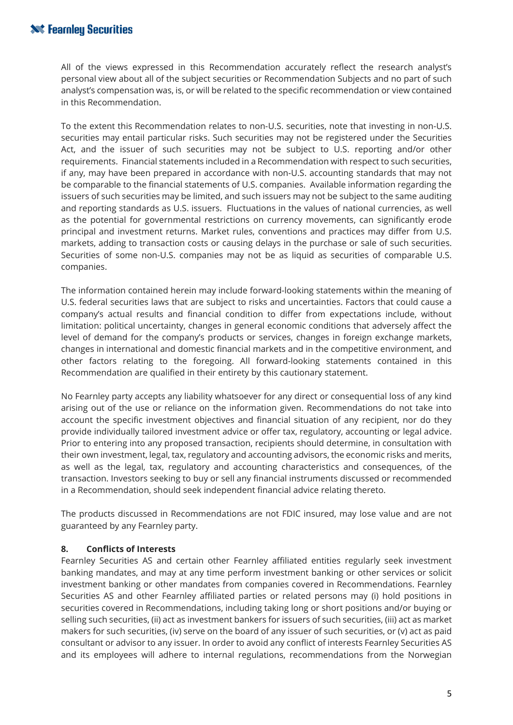# **Solution Securities**

All of the views expressed in this Recommendation accurately reflect the research analyst's personal view about all of the subject securities or Recommendation Subjects and no part of such analyst's compensation was, is, or will be related to the specific recommendation or view contained in this Recommendation.

To the extent this Recommendation relates to non-U.S. securities, note that investing in non-U.S. securities may entail particular risks. Such securities may not be registered under the Securities Act, and the issuer of such securities may not be subject to U.S. reporting and/or other requirements. Financial statements included in a Recommendation with respect to such securities, if any, may have been prepared in accordance with non-U.S. accounting standards that may not be comparable to the financial statements of U.S. companies. Available information regarding the issuers of such securities may be limited, and such issuers may not be subject to the same auditing and reporting standards as U.S. issuers. Fluctuations in the values of national currencies, as well as the potential for governmental restrictions on currency movements, can significantly erode principal and investment returns. Market rules, conventions and practices may differ from U.S. markets, adding to transaction costs or causing delays in the purchase or sale of such securities. Securities of some non-U.S. companies may not be as liquid as securities of comparable U.S. companies.

The information contained herein may include forward-looking statements within the meaning of U.S. federal securities laws that are subject to risks and uncertainties. Factors that could cause a company's actual results and financial condition to differ from expectations include, without limitation: political uncertainty, changes in general economic conditions that adversely affect the level of demand for the company's products or services, changes in foreign exchange markets, changes in international and domestic financial markets and in the competitive environment, and other factors relating to the foregoing. All forward-looking statements contained in this Recommendation are qualified in their entirety by this cautionary statement.

No Fearnley party accepts any liability whatsoever for any direct or consequential loss of any kind arising out of the use or reliance on the information given. Recommendations do not take into account the specific investment objectives and financial situation of any recipient, nor do they provide individually tailored investment advice or offer tax, regulatory, accounting or legal advice. Prior to entering into any proposed transaction, recipients should determine, in consultation with their own investment, legal, tax, regulatory and accounting advisors, the economic risks and merits, as well as the legal, tax, regulatory and accounting characteristics and consequences, of the transaction. Investors seeking to buy or sell any financial instruments discussed or recommended in a Recommendation, should seek independent financial advice relating thereto.

The products discussed in Recommendations are not FDIC insured, may lose value and are not guaranteed by any Fearnley party.

## **8. Conflicts of Interests**

Fearnley Securities AS and certain other Fearnley affiliated entities regularly seek investment banking mandates, and may at any time perform investment banking or other services or solicit investment banking or other mandates from companies covered in Recommendations. Fearnley Securities AS and other Fearnley affiliated parties or related persons may (i) hold positions in securities covered in Recommendations, including taking long or short positions and/or buying or selling such securities, (ii) act as investment bankers for issuers of such securities, (iii) act as market makers for such securities, (iv) serve on the board of any issuer of such securities, or (v) act as paid consultant or advisor to any issuer. In order to avoid any conflict of interests Fearnley Securities AS and its employees will adhere to internal regulations, recommendations from the Norwegian